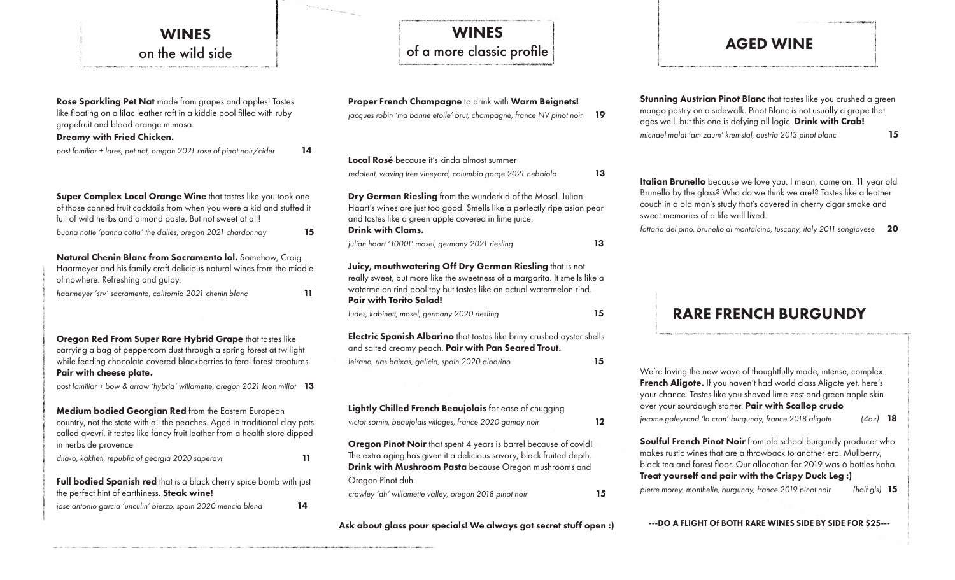# WINES on the wild side

| Rose Sparkling Pet Nat made from grapes and apples! Tastes<br>like floating on a lilac leather raft in a kiddie pool filled with ruby<br>grapefruit and blood orange mimosa.<br>Dreamy with Fried Chicken.                                 |  |  |  |
|--------------------------------------------------------------------------------------------------------------------------------------------------------------------------------------------------------------------------------------------|--|--|--|
| post familiar + lares, pet nat, oregon 2021 rose of pinot noir/cider<br>14                                                                                                                                                                 |  |  |  |
| Super Complex Local Orange Wine that tastes like you took one<br>of those canned fruit cocktails from when you were a kid and stuffed it<br>full of wild herbs and almond paste. But not sweet at all!                                     |  |  |  |
| buona notte 'panna cotta' the dalles, oregon 2021 chardonnay<br>15                                                                                                                                                                         |  |  |  |
| Natural Chenin Blanc from Sacramento Iol. Somehow, Craig<br>Haarmeyer and his family craft delicious natural wines from the middle<br>of nowhere. Refreshing and gulpy.<br>haarmeyer 'srv' sacramento, california 2021 chenin blanc<br>11  |  |  |  |
| Oregon Red From Super Rare Hybrid Grape that tastes like<br>carrying a bag of peppercorn dust through a spring forest at twilight<br>while feeding chocolate covered blackberries to feral forest creatures.<br>Pair with cheese plate.    |  |  |  |
| post familiar + bow & arrow 'hybrid' willamette, oregon 2021 leon millot<br>13                                                                                                                                                             |  |  |  |
| Medium bodied Georgian Red from the Eastern European<br>country, not the state with all the peaches. Aged in traditional clay pots<br>called qvevri, it tastes like fancy fruit leather from a health store dipped<br>in herbs de provence |  |  |  |
| dila-o, kakheti, republic of georgia 2020 saperavi<br>11                                                                                                                                                                                   |  |  |  |
| Full bodied Spanish red that is a black cherry spice bomb with just<br>the perfect hint of earthiness. Steak wine!                                                                                                                         |  |  |  |
| jose antonio garcia 'unculin' bierzo, spain 2020 mencia blend<br>14                                                                                                                                                                        |  |  |  |

# WINES of a more classic profile

| Proper French Champagne to drink with Warm Beignets!<br>jacques robin 'ma bonne etoile' brut, champagne, france NV pinot noir                                                                                                                   | 19 |
|-------------------------------------------------------------------------------------------------------------------------------------------------------------------------------------------------------------------------------------------------|----|
| <b>Local Rosé</b> because it's kinda almost summer<br>redolent, waving tree vineyard, columbia gorge 2021 nebbiolo                                                                                                                              | 13 |
| Dry German Riesling from the wunderkid of the Mosel. Julian<br>Haart's wines are just too good. Smells like a perfectly ripe asian pear<br>and tastes like a green apple covered in lime juice.<br><b>Drink with Clams.</b>                     |    |
| julian haart '1000L' mosel, germany 2021 riesling                                                                                                                                                                                               | 13 |
| Juicy, mouthwatering Off Dry German Riesling that is not<br>really sweet, but more like the sweetness of a margarita. It smells like a<br>watermelon rind pool toy but tastes like an actual watermelon rind.<br><b>Pair with Torito Salad!</b> |    |
| ludes, kabinett, mosel, germany 2020 riesling                                                                                                                                                                                                   | 15 |
| Electric Spanish Albarino that tastes like briny crushed oyster shells<br>and salted creamy peach. Pair with Pan Seared Trout.                                                                                                                  |    |
| leirana, rias baixas, galicia, spain 2020 albarino                                                                                                                                                                                              | 15 |
|                                                                                                                                                                                                                                                 |    |
| Lightly Chilled French Beaujolais for ease of chugging<br>victor sornin, beaujolais villages, france 2020 gamay noir                                                                                                                            | 12 |
| <b>Oregon Pinot Noir</b> that spent 4 years is barrel because of covid!<br>The extra aging has given it a delicious savory, black fruited depth.<br>Drink with Mushroom Pasta because Oregon mushrooms and<br>Oregon Pinot duh.                 |    |
| crowley 'dh' willamette valley, oregon 2018 pinot noir                                                                                                                                                                                          | 15 |

Ask about glass pour specials! We always got secret stuff open :)

## AGED WINE

Stunning Austrian Pinot Blanc that tastes like you crushed a green mango pastry on a sidewalk. Pinot Blanc is not usually a grape that ages well, but this one is defying all logic. Drink with Crab! *michael malat 'am zaum' kremstal, austria 2013 pinot blanc* 15

Italian Brunello because we love you. I mean, come on. 11 year old Brunello by the glass? Who do we think we are!? Tastes like a leather couch in a old man's study that's covered in cherry cigar smoke and sweet memories of a life well lived.

*fattoria del pino, brunello di montalcino, tuscany, italy 2011 sangiovese* 20

## RARE FRENCH BURGUNDY

We're loving the new wave of thoughtfully made, intense, complex French Aligote. If you haven't had world class Aligote yet, here's your chance. Tastes like you shaved lime zest and green apple skin over your sourdough starter. Pair with Scallop crudo *jerome galeyrand 'la cran' burgundy, france 2018 aligote (4oz)* 18 Soulful French Pinot Noir from old school burgundy producer who makes rustic wines that are a throwback to another era. Mullberry, black tea and forest floor. Our allocation for 2019 was 6 bottles haha. Treat yourself and pair with the Crispy Duck Leg :)

*pierre morey, monthelie, burgundy, france 2019 pinot noir (half gls)* 15

---DO A FLIGHT Of BOTH RARE WINES SIDE BY SIDE FOR \$25---